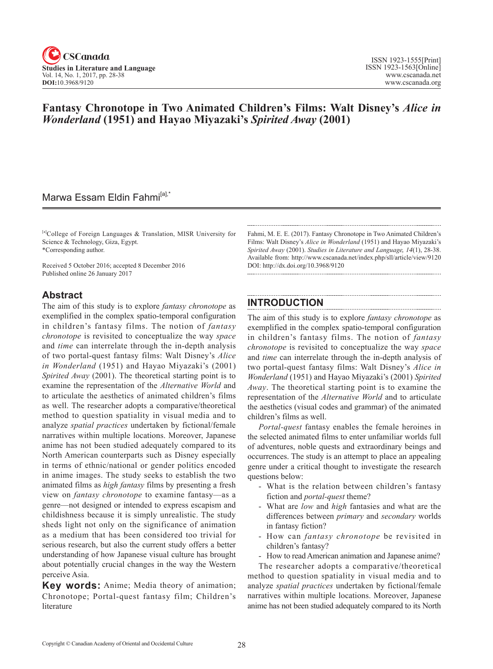

## **Fantasy Chronotope in Two Animated Children's Films: Walt Disney's** *Alice in Wonderland* **(1951) and Hayao Miyazaki's** *Spirited Away* **(2001)**

## Marwa Essam Eldin Fahmi<sup>[a],\*</sup>

[a]College of Foreign Languages & Translation, MISR University for Science & Technology, Giza, Egypt. \*Corresponding author.

Received 5 October 2016; accepted 8 December 2016 Published online 26 January 2017

### **Abstract**

The aim of this study is to explore *fantasy chronotope* as exemplified in the complex spatio-temporal configuration in children's fantasy films. The notion of *fantasy chronotope* is revisited to conceptualize the way *space* and *time* can interrelate through the in-depth analysis of two portal-quest fantasy films: Walt Disney's *Alice in Wonderland* (1951) and Hayao Miyazaki's (2001) *Spirited Away* (2001). The theoretical starting point is to examine the representation of the *Alternative World* and to articulate the aesthetics of animated children's films as well. The researcher adopts a comparative/theoretical method to question spatiality in visual media and to analyze *spatial practices* undertaken by fictional/female narratives within multiple locations. Moreover, Japanese anime has not been studied adequately compared to its North American counterparts such as Disney especially in terms of ethnic/national or gender politics encoded in anime images. The study seeks to establish the two animated films as *high fantasy* films by presenting a fresh view on *fantasy chronotope* to examine fantasy—as a genre—not designed or intended to express escapism and childishness because it is simply unrealistic. The study sheds light not only on the significance of animation as a medium that has been considered too trivial for serious research, but also the current study offers a better understanding of how Japanese visual culture has brought about potentially crucial changes in the way the Western perceive Asia.

**Key words:** Anime; Media theory of animation; Chronotope; Portal-quest fantasy film; Children's literature

Fahmi, M. E. E. (2017). Fantasy Chronotope in Two Animated Children's Films: Walt Disney's *Alice in Wonderland* (1951) and Hayao Miyazaki's *Spirited Away* (2001). *Studies in Literature and Language*, <sup>14</sup>(1), 28-38. Available from: http://www.cscanada.net/index.php/sll/article/view/9120 DOI: http://dx.doi.org/10.3968/9120

### **INTRODUCTION**

The aim of this study is to explore *fantasy chronotope* as exemplified in the complex spatio-temporal configuration in children's fantasy films. The notion of *fantasy chronotope* is revisited to conceptualize the way *space* and *time* can interrelate through the in-depth analysis of two portal-quest fantasy films: Walt Disney's *Alice in Wonderland* (1951) and Hayao Miyazaki's (2001) *Spirited Away*. The theoretical starting point is to examine the representation of the *Alternative World* and to articulate the aesthetics (visual codes and grammar) of the animated children's films as well.

*Portal-quest* fantasy enables the female heroines in the selected animated films to enter unfamiliar worlds full of adventures, noble quests and extraordinary beings and occurrences. The study is an attempt to place an appealing genre under a critical thought to investigate the research questions below:

- What is the relation between children's fantasy fiction and *portal-quest* theme?
- What are *low* and *high* fantasies and what are the differences between *primary* and *secondary* worlds in fantasy fiction?
- How can *fantasy chronotope* be revisited in children's fantasy?
- How to read American animation and Japanese anime?

The researcher adopts a comparative/theoretical method to question spatiality in visual media and to analyze *spatial practices* undertaken by fictional/female narratives within multiple locations. Moreover, Japanese anime has not been studied adequately compared to its North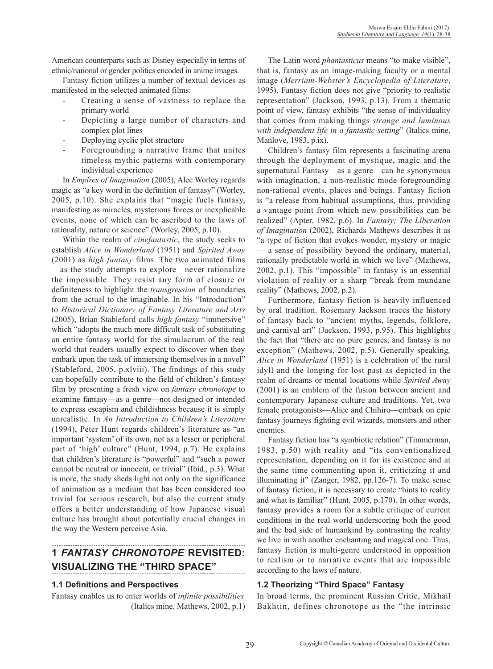American counterparts such as Disney especially in terms of ethnic/national or gender politics encoded in anime images.

Fantasy fiction utilizes a number of textual devices as manifested in the selected animated films:

- Creating a sense of vastness to replace the primary world
- Depicting a large number of characters and complex plot lines
- Deploying cyclic plot structure
- Foregrounding a narrative frame that unites timeless mythic patterns with contemporary individual experience

In *Empires of Imagination* (2005), Alec Worley regards magic as "a key word in the definition of fantasy" (Worley, 2005, p.10). She explains that "magic fuels fantasy, manifesting as miracles, mysterious forces or inexplicable events, none of which can be ascribed to the laws of rationality, nature or science" (Worley, 2005, p.10).

Within the realm of *cinefantastic*, the study seeks to establish *Alice in Wonderland* (1951) and *Spirited Away* (2001) as *high fantasy* films. The two animated films —as the study attempts to explore—never rationalize the impossible. They resist any form of closure or definiteness to highlight the *transgression* of boundaries from the actual to the imaginable. In his "Introduction" to *Historical Dictionary of Fantasy Literature and Arts* (2005), Brian Stableford calls *high fantasy* "immersive" which "adopts the much more difficult task of substituting an entire fantasy world for the simulacrum of the real world that readers usually expect to discover when they embark upon the task of immersing themselves in a novel" (Stableford, 2005, p.xlviii). The findings of this study can hopefully contribute to the field of children's fantasy film by presenting a fresh view on *fantasy chronotope* to examine fantasy—as a genre—not designed or intended to express escapism and childishness because it is simply unrealistic. In *An Introduction to Children's Literature* (1994), Peter Hunt regards children's literature as "an important 'system' of its own, not as a lesser or peripheral part of 'high' culture" (Hunt, 1994, p.7). He explains that children's literature is "powerful" and "such a power cannot be neutral or innocent, or trivial" (Ibid., p.3). What is more, the study sheds light not only on the significance of animation as a medium that has been considered too trivial for serious research, but also the current study offers a better understanding of how Japanese visual culture has brought about potentially crucial changes in the way the Western perceive Asia.

# **1** *FANTASY CHRONOTOPE* **REVISITED: VISUALIZING THE "THIRD SPACE"**

#### **1.1 Definitions and Perspectives**

Fantasy enables us to enter worlds of *infinite possibilities* (Italics mine, Mathews, 2002, p.1)

The Latin word *phantasticus* means "to make visible", that is, fantasy as an image-making faculty or a mental image (*Merriam-Webster's Encyclopedia of Literature*, 1995). Fantasy fiction does not give "priority to realistic representation" (Jackson, 1993, p.13). From a thematic point of view, fantasy exhibits "the sense of individuality that comes from making things *strange and luminous with independent life in a fantastic setting*" (Italics mine, Manlove, 1983, p.ix).

Children's fantasy film represents a fascinating arena through the deployment of mystique, magic and the supernatural Fantasy—as a genre—can be synonymous with imagination, a non-realistic mode foregrounding non-rational events, places and beings. Fantasy fiction is "a release from habitual assumptions, thus, providing a vantage point from which new possibilities can be realized" (Apter, 1982, p.6). In *Fantasy; The Liberation of Imagination* (2002), Richards Mathews describes it as "a type of fiction that evokes wonder, mystery or magic — a sense of possibility beyond the ordinary, material, rationally predictable world in which we live" (Mathews, 2002, p.1). This "impossible" in fantasy is an essential violation of reality or a sharp "break from mundane reality" (Mathews, 2002, p.2).

Furthermore, fantasy fiction is heavily influenced by oral tradition. Rosemary Jackson traces the history of fantasy back to "ancient myths, legends, folklore, and carnival art" (Jackson, 1993, p.95). This highlights the fact that "there are no pure genres, and fantasy is no exception" (Mathews, 2002, p.5). Generally speaking*, Alice in Wonderland* (1951) is a celebration of the rural idyll and the longing for lost past as depicted in the realm of dreams or mental locations while *Spirited Away* (2001) is an emblem of the fusion between ancient and contemporary Japanese culture and traditions. Yet, two female protagonists—Alice and Chihiro—embark on epic fantasy journeys fighting evil wizards, monsters and other enemies.

Fantasy fiction has "a symbiotic relation" (Timmerman, 1983, p.50) with reality and "its conventionalized representation, depending on it for its existence and at the same time commenting upon it, criticizing it and illuminating it" (Zanger, 1982, pp.126-7). To make sense of fantasy fiction, it is necessary to create "hints to reality and what is familiar" (Hunt, 2005, p.170). In other words, fantasy provides a room for a subtle critique of current conditions in the real world underscoring both the good and the bad side of humankind by contrasting the reality we live in with another enchanting and magical one. Thus, fantasy fiction is multi-genre understood in opposition to realism or to narrative events that are impossible according to the laws of nature.

### **1.2 Theorizing "Third Space" Fantasy**

In broad terms, the prominent Russian Critic, Mikhail Bakhtin, defines chronotope as the "the intrinsic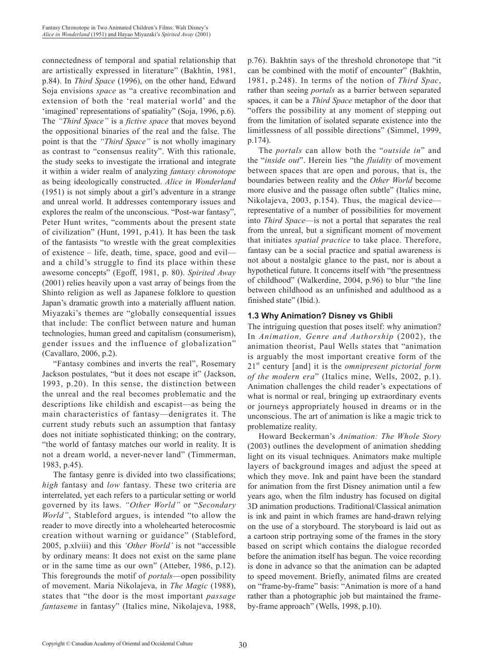connectedness of temporal and spatial relationship that are artistically expressed in literature" (Bakhtin, 1981, p.84). In *Third Space* (1996), on the other hand, Edward Soja envisions *space* as "a creative recombination and extension of both the 'real material world' and the 'imagined' representations of spatiality" (Soja, 1996, p.6). The *"Third Space"* is a *fictive space* that moves beyond the oppositional binaries of the real and the false. The point is that the *"Third Space"* is not wholly imaginary as contrast to "consensus reality". With this rationale, the study seeks to investigate the irrational and integrate it within a wider realm of analyzing *fantasy chronotope* as being ideologically constructed. *Alice in Wonderland* (1951) is not simply about a girl's adventure in a strange and unreal world. It addresses contemporary issues and explores the realm of the unconscious. "Post-war fantasy", Peter Hunt writes, "comments about the present state of civilization" (Hunt, 1991, p.41). It has been the task of the fantasists "to wrestle with the great complexities of existence – life, death, time, space, good and evil and a child's struggle to find its place within these awesome concepts" (Egoff, 1981, p. 80). *Spirited Away* (2001) relies heavily upon a vast array of beings from the Shinto religion as well as Japanese folklore to question Japan's dramatic growth into a materially affluent nation. Miyazaki's themes are "globally consequential issues that include: The conflict between nature and human technologies, human greed and capitalism (consumerism), gender issues and the influence of globalization" (Cavallaro, 2006, p.2).

"Fantasy combines and inverts the real", Rosemary Jackson postulates, "but it does not escape it" (Jackson, 1993, p.20). In this sense, the distinction between the unreal and the real becomes problematic and the descriptions like childish and escapist—as being the main characteristics of fantasy—denigrates it. The current study rebuts such an assumption that fantasy does not initiate sophisticated thinking; on the contrary, "the world of fantasy matches our world in reality. It is not a dream world, a never-never land" (Timmerman, 1983, p.45).

The fantasy genre is divided into two classifications; *high* fantasy and *low* fantasy. These two criteria are interrelated, yet each refers to a particular setting or world governed by its laws. *"Other World"* or "*Secondary World"*, Stableford argues, is intended "to allow the reader to move directly into a wholehearted heterocosmic creation without warning or guidance" (Stableford, 2005, p.xlviii) and this *'Other World'* is not "accessible by ordinary means: It does not exist on the same plane or in the same time as our own" (Atteber, 1986, p.12). This foregrounds the motif of *portals*—open possibility of movement. Maria Nikolajeva, in *The Magic* (1988), states that "the door is the most important *passage fantaseme* in fantasy" (Italics mine, Nikolajeva, 1988, p.76). Bakhtin says of the threshold chronotope that "it can be combined with the motif of encounter" (Bakhtin, 1981, p.248). In terms of the notion of *Third Spac*, rather than seeing *portals* as a barrier between separated spaces, it can be a *Third Space* metaphor of the door that "offers the possibility at any moment of stepping out from the limitation of isolated separate existence into the limitlessness of all possible directions" (Simmel, 1999, p.174).

The *portals* can allow both the "*outside in*" and the "*inside out*". Herein lies "the *fluidity* of movement between spaces that are open and porous, that is, the boundaries between reality and the *Other World* become more elusive and the passage often subtle" (Italics mine, Nikolajeva, 2003, p.154). Thus, the magical device representative of a number of possibilities for movement into *Third Space*—is not a portal that separates the real from the unreal, but a significant moment of movement that initiates *spatial practice* to take place. Therefore, fantasy can be a social practice and spatial awareness is not about a nostalgic glance to the past, nor is about a hypothetical future. It concerns itself with "the presentness of childhood" (Walkerdine, 2004, p.96) to blur "the line between childhood as an unfinished and adulthood as a finished state" (Ibid.).

### **1.3 Why Animation? Disney vs Ghibli**

The intriguing question that poses itself: why animation? In *Animation, Genre and Authorship* (2002), the animation theorist, Paul Wells states that "animation is arguably the most important creative form of the 21st century [and] it is the *omnipresent pictorial form of the modern era*" (Italics mine, Wells, 2002, p.1). Animation challenges the child reader's expectations of what is normal or real, bringing up extraordinary events or journeys appropriately housed in dreams or in the unconscious. The art of animation is like a magic trick to problematize reality.

Howard Beckerman's *Animation: The Whole Story* (2003) outlines the development of animation shedding light on its visual techniques. Animators make multiple layers of background images and adjust the speed at which they move. Ink and paint have been the standard for animation from the first Disney animation until a few years ago, when the film industry has focused on digital 3D animation productions. Traditional/Classical animation is ink and paint in which frames are hand-drawn relying on the use of a storyboard. The storyboard is laid out as a cartoon strip portraying some of the frames in the story based on script which contains the dialogue recorded before the animation itself has begun. The voice recording is done in advance so that the animation can be adapted to speed movement. Briefly, animated films are created on "frame-by-frame" basis: "Animation is more of a hand rather than a photographic job but maintained the frameby-frame approach" (Wells, 1998, p.10).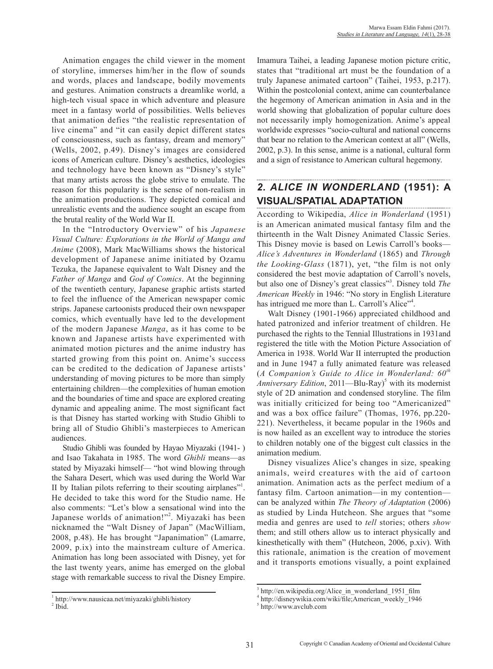Animation engages the child viewer in the moment of storyline, immerses him/her in the flow of sounds and words, places and landscape, bodily movements and gestures. Animation constructs a dreamlike world, a high-tech visual space in which adventure and pleasure meet in a fantasy world of possibilities. Wells believes that animation defies "the realistic representation of live cinema" and "it can easily depict different states of consciousness, such as fantasy, dream and memory" (Wells, 2002, p.49). Disney's images are considered icons of American culture. Disney's aesthetics, ideologies and technology have been known as "Disney's style" that many artists across the globe strive to emulate. The reason for this popularity is the sense of non-realism in the animation productions. They depicted comical and unrealistic events and the audience sought an escape from the brutal reality of the World War II.

In the "Introductory Overview" of his *Japanese Visual Culture: Explorations in the World of Manga and Anime* (2008), Mark MacWilliams shows the historical development of Japanese anime initiated by Ozamu Tezuka, the Japanese equivalent to Walt Disney and the *Father of Manga* and *God of Comics*. At the beginning of the twentieth century, Japanese graphic artists started to feel the influence of the American newspaper comic strips. Japanese cartoonists produced their own newspaper comics, which eventually have led to the development of the modern Japanese *Manga*, as it has come to be known and Japanese artists have experimented with animated motion pictures and the anime industry has started growing from this point on. Anime's success can be credited to the dedication of Japanese artists' understanding of moving pictures to be more than simply entertaining children—the complexities of human emotion and the boundaries of time and space are explored creating dynamic and appealing anime. The most significant fact is that Disney has started working with Studio Ghibli to bring all of Studio Ghibli's masterpieces to American audiences.

Studio Ghibli was founded by Hayao Miyazaki (1941- ) and Isao Takahata in 1985. The word *Ghibli* means—as stated by Miyazaki himself— "hot wind blowing through the Sahara Desert, which was used during the World War II by Italian pilots referring to their scouting airplanes"<sup>1</sup>. He decided to take this word for the Studio name. He also comments: "Let's blow a sensational wind into the Japanese worlds of animation!"<sup>2</sup>. Miyazaki has been nicknamed the "Walt Disney of Japan" (MacWilliam, 2008, p.48). He has brought "Japanimation" (Lamarre, 2009, p.ix) into the mainstream culture of America. Animation has long been associated with Disney, yet for the last twenty years, anime has emerged on the global stage with remarkable success to rival the Disney Empire.

Imamura Taihei, a leading Japanese motion picture critic, states that "traditional art must be the foundation of a truly Japanese animated cartoon" (Taihei, 1953, p.217). Within the postcolonial context, anime can counterbalance the hegemony of American animation in Asia and in the world showing that globalization of popular culture does not necessarily imply homogenization. Anime's appeal worldwide expresses "socio-cultural and national concerns that bear no relation to the American context at all" (Wells, 2002, p.3). In this sense, anime is a national, cultural form and a sign of resistance to American cultural hegemony.

## *2. ALICE IN WONDERLAND* **(1951): A VISUAL/SPATIAL ADAPTATION**

According to Wikipedia, *Alice in Wonderland* (1951) is an American animated musical fantasy film and the thirteenth in the Walt Disney Animated Classic Series. This Disney movie is based on Lewis Carroll's books— *Alice's Adventures in Wonderland* (1865) and *Through the Looking-Glass* (1871), yet, "the film is not only considered the best movie adaptation of Carroll's novels, but also one of Disney's great classics"<sup>3</sup> . Disney told *The American Weekly* in 1946: "No story in English Literature has intrigued me more than L. Carroll's Alice"<sup>4</sup>.

Walt Disney (1901-1966) appreciated childhood and hated patronized and inferior treatment of children. He purchased the rights to the Tennial Illustrations in 1931and registered the title with the Motion Picture Association of America in 1938. World War II interrupted the production and in June 1947 a fully animated feature was released (*A Companion's Guide to Alice in Wonderland: 60th* Anniversary Edition, 2011—Blu-Ray)<sup>5</sup> with its modernist style of 2D animation and condensed storyline. The film was initially criticized for being too "Americanized" and was a box office failure" (Thomas, 1976, pp.220- 221). Nevertheless, it became popular in the 1960s and is now hailed as an excellent way to introduce the stories to children notably one of the biggest cult classics in the animation medium.

Disney visualizes Alice's changes in size, speaking animals, weird creatures with the aid of cartoon animation. Animation acts as the perfect medium of a fantasy film. Cartoon animation—in my contention can be analyzed within *The Theory of Adaptation* (2006) as studied by Linda Hutcheon. She argues that "some media and genres are used to *tell* stories; others *show* them; and still others allow us to interact physically and kinesthetically with them" (Hutcheon, 2006, p.xiv). With this rationale, animation is the creation of movement and it transports emotions visually, a point explained

<sup>1</sup> http://www.nausicaa.net/miyazaki/ghibli/history

 $<sup>2</sup>$  Ibid.</sup>

<sup>&</sup>lt;sup>3</sup> http://en.wikipedia.org/Alice\_in\_wonderland\_1951\_film

<sup>4</sup> http://disneywikia.com/wiki/file;American\_weekly\_1946

<sup>5</sup> http://www.avclub.com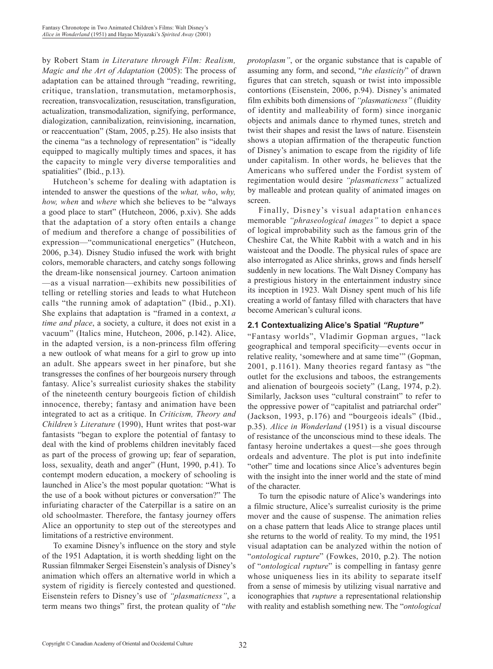by Robert Stam *in Literature through Film: Realism, Magic and the Art of Adaptation* (2005): The process of adaptation can be attained through "reading, rewriting, critique, translation, transmutation, metamorphosis, recreation, transvocalization, resuscitation, transfiguration, actualization, transmodalization, signifying, performance, dialogization, cannibalization, reinvisioning, incarnation, or reaccentuation" (Stam, 2005, p.25). He also insists that the cinema "as a technology of representation" is "ideally equipped to magically multiply times and spaces, it has the capacity to mingle very diverse temporalities and spatialities" (Ibid., p.13).

Hutcheon's scheme for dealing with adaptation is intended to answer the questions of the *what, who*, *why, how, when* and *where* which she believes to be "always a good place to start" (Hutcheon, 2006, p.xiv). She adds that the adaptation of a story often entails a change of medium and therefore a change of possibilities of expression—"communicational energetics" (Hutcheon, 2006, p.34). Disney Studio infused the work with bright colors, memorable characters, and catchy songs following the dream-like nonsensical journey. Cartoon animation —as a visual narration—exhibits new possibilities of telling or retelling stories and leads to what Hutcheon calls "the running amok of adaptation" (Ibid., p.XI). She explains that adaptation is "framed in a context, *a time and place*, a society, a culture, it does not exist in a vacuum" (Italics mine, Hutcheon, 2006, p.142). Alice, in the adapted version, is a non-princess film offering a new outlook of what means for a girl to grow up into an adult. She appears sweet in her pinafore, but she transgresses the confines of her bourgeois nursery through fantasy. Alice's surrealist curiosity shakes the stability of the nineteenth century bourgeois fiction of childish innocence, thereby; fantasy and animation have been integrated to act as a critique. In *Criticism, Theory and Children's Literature* (1990), Hunt writes that post-war fantasists "began to explore the potential of fantasy to deal with the kind of problems children inevitably faced as part of the process of growing up; fear of separation, loss, sexuality, death and anger" (Hunt, 1990, p.41). To contempt modern education, a mockery of schooling is launched in Alice's the most popular quotation: "What is the use of a book without pictures or conversation?" The infuriating character of the Caterpillar is a satire on an old schoolmaster. Therefore, the fantasy journey offers Alice an opportunity to step out of the stereotypes and limitations of a restrictive environment.

To examine Disney's influence on the story and style of the 1951 Adaptation, it is worth shedding light on the Russian filmmaker Sergei Eisenstein's analysis of Disney's animation which offers an alternative world in which a system of rigidity is fiercely contested and questioned. Eisenstein refers to Disney's use of *"plasmaticness"*, a term means two things" first, the protean quality of "*the* *protoplasm"*, or the organic substance that is capable of assuming any form, and second, "*the elasticity*" of drawn figures that can stretch, squash or twist into impossible contortions (Eisenstein, 2006, p.94). Disney's animated film exhibits both dimensions of *"plasmaticness"* (fluidity of identity and malleability of form) since inorganic objects and animals dance to rhymed tunes, stretch and twist their shapes and resist the laws of nature. Eisenstein shows a utopian affirmation of the therapeutic function of Disney's animation to escape from the rigidity of life under capitalism. In other words, he believes that the Americans who suffered under the Fordist system of regimentation would desire *"plasmaticness"* actualized by malleable and protean quality of animated images on screen.

Finally, Disney's visual adaptation enhances memorable *"phraseological images"* to depict a space of logical improbability such as the famous grin of the Cheshire Cat, the White Rabbit with a watch and in his waistcoat and the Doodle. The physical rules of space are also interrogated as Alice shrinks, grows and finds herself suddenly in new locations. The Walt Disney Company has a prestigious history in the entertainment industry since its inception in 1923. Walt Disney spent much of his life creating a world of fantasy filled with characters that have become American's cultural icons.

#### **2.1 Contextualizing Alice's Spatial** *"Rupture"*

"Fantasy worlds", Vladimir Gopman argues, "lack geographical and temporal specificity—events occur in relative reality, 'somewhere and at same time'" (Gopman, 2001, p.1161). Many theories regard fantasy as "the outlet for the exclusions and taboos, the estrangements and alienation of bourgeois society" (Lang, 1974, p.2). Similarly, Jackson uses "cultural constraint" to refer to the oppressive power of "capitalist and patriarchal order" (Jackson, 1993, p.176) and "bourgeois ideals" (Ibid., p.35). *Alice in Wonderland* (1951) is a visual discourse of resistance of the unconscious mind to these ideals. The fantasy heroine undertakes a quest—she goes through ordeals and adventure. The plot is put into indefinite "other" time and locations since Alice's adventures begin with the insight into the inner world and the state of mind of the character.

To turn the episodic nature of Alice's wanderings into a filmic structure, Alice's surrealist curiosity is the prime mover and the cause of suspense. The animation relies on a chase pattern that leads Alice to strange places until she returns to the world of reality. To my mind, the 1951 visual adaptation can be analyzed within the notion of "*ontological rupture*" (Fowkes, 2010, p.2). The notion of "*ontological rupture*" is compelling in fantasy genre whose uniqueness lies in its ability to separate itself from a sense of mimesis by utilizing visual narrative and iconographies that *rupture* a representational relationship with reality and establish something new. The "*ontological*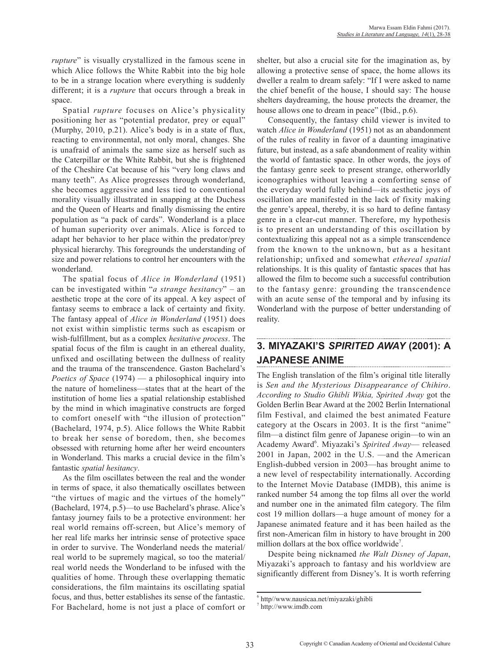*rupture*" is visually crystallized in the famous scene in which Alice follows the White Rabbit into the big hole to be in a strange location where everything is suddenly different; it is a *rupture* that occurs through a break in space.

Spatial *rupture* focuses on Alice's physicality positioning her as "potential predator, prey or equal" (Murphy, 2010, p.21). Alice's body is in a state of flux, reacting to environmental, not only moral, changes. She is unafraid of animals the same size as herself such as the Caterpillar or the White Rabbit, but she is frightened of the Cheshire Cat because of his "very long claws and many teeth". As Alice progresses through wonderland, she becomes aggressive and less tied to conventional morality visually illustrated in snapping at the Duchess and the Queen of Hearts and finally dismissing the entire population as "a pack of cards". Wonderland is a place of human superiority over animals. Alice is forced to adapt her behavior to her place within the predator/prey physical hierarchy. This foregrounds the understanding of size and power relations to control her encounters with the wonderland.

The spatial focus of *Alice in Wonderland* (1951) can be investigated within "*a strange hesitancy*" – an aesthetic trope at the core of its appeal. A key aspect of fantasy seems to embrace a lack of certainty and fixity. The fantasy appeal of *Alice in Wonderland* (1951) does not exist within simplistic terms such as escapism or wish-fulfillment, but as a complex *hesitative process*. The spatial focus of the film is caught in an ethereal duality, unfixed and oscillating between the dullness of reality and the trauma of the transcendence. Gaston Bachelard's *Poetics of Space* (1974) — a philosophical inquiry into the nature of homeliness—states that at the heart of the institution of home lies a spatial relationship established by the mind in which imaginative constructs are forged to comfort oneself with "the illusion of protection" (Bachelard, 1974, p.5). Alice follows the White Rabbit to break her sense of boredom, then, she becomes obsessed with returning home after her weird encounters in Wonderland. This marks a crucial device in the film's fantastic *spatial hesitancy*.

As the film oscillates between the real and the wonder in terms of space, it also thematically oscillates between "the virtues of magic and the virtues of the homely" (Bachelard, 1974, p.5)—to use Bachelard's phrase. Alice's fantasy journey fails to be a protective environment: her real world remains off-screen, but Alice's memory of her real life marks her intrinsic sense of protective space in order to survive. The Wonderland needs the material/ real world to be supremely magical, so too the material/ real world needs the Wonderland to be infused with the qualities of home. Through these overlapping thematic considerations, the film maintains its oscillating spatial focus, and thus, better establishes its sense of the fantastic. For Bachelard, home is not just a place of comfort or

shelter, but also a crucial site for the imagination as, by allowing a protective sense of space, the home allows its dweller a realm to dream safely: "If I were asked to name the chief benefit of the house, I should say: The house shelters daydreaming, the house protects the dreamer, the house allows one to dream in peace" (Ibid., p.6).

Consequently, the fantasy child viewer is invited to watch *Alice in Wonderland* (1951) not as an abandonment of the rules of reality in favor of a daunting imaginative future, but instead, as a safe abandonment of reality within the world of fantastic space. In other words, the joys of the fantasy genre seek to present strange, otherworldly iconographies without leaving a comforting sense of the everyday world fully behind—its aesthetic joys of oscillation are manifested in the lack of fixity making the genre's appeal, thereby, it is so hard to define fantasy genre in a clear-cut manner. Therefore, my hypothesis is to present an understanding of this oscillation by contextualizing this appeal not as a simple transcendence from the known to the unknown, but as a hesitant relationship; unfixed and somewhat *ethereal spatial* relationships. It is this quality of fantastic spaces that has allowed the film to become such a successful contribution to the fantasy genre: grounding the transcendence with an acute sense of the temporal and by infusing its Wonderland with the purpose of better understanding of reality.

# **3. MIYAZAKI'S** *SPIRITED AWAY* **(2001): A JAPANESE ANIME**

The English translation of the film's original title literally is *Sen and the Mysterious Disappearance of Chihiro*. *According to Studio Ghibli Wikia, Spirited Away* got the Golden Berlin Bear Award at the 2002 Berlin International film Festival, and claimed the best animated Feature category at the Oscars in 2003. It is the first "anime" film—a distinct film genre of Japanese origin—to win an Academy Award<sup>6</sup>. Miyazaki's Spirited Away-released 2001 in Japan, 2002 in the U.S. —and the American English-dubbed version in 2003—has brought anime to a new level of respectability internationally. According to the Internet Movie Database (IMDB), this anime is ranked number 54 among the top films all over the world and number one in the animated film category. The film cost 19 million dollars—a huge amount of money for a Japanese animated feature and it has been hailed as the first non-American film in history to have brought in 200 million dollars at the box office worldwide<sup>7</sup>.

Despite being nicknamed *the Walt Disney of Japan*, Miyazaki's approach to fantasy and his worldview are significantly different from Disney's. It is worth referring

<sup>6</sup> http//www.nausicaa.net/miyazaki/ghibli

<sup>7</sup> http://www.imdb.com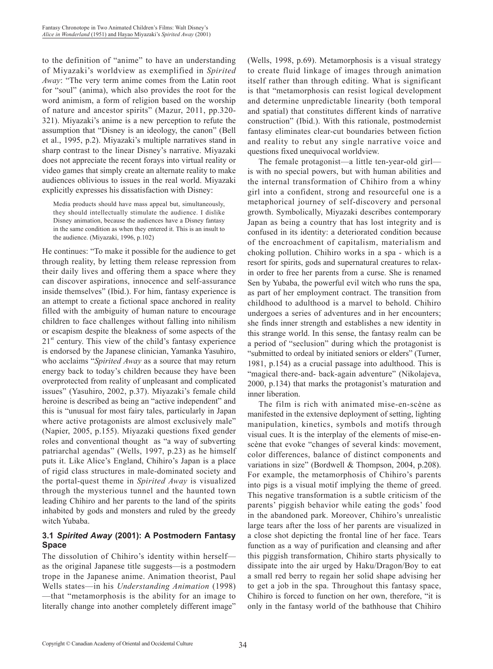to the definition of "anime" to have an understanding of Miyazaki's worldview as exemplified in *Spirited Away*: "The very term anime comes from the Latin root for "soul" (anima), which also provides the root for the word animism, a form of religion based on the worship of nature and ancestor spirits" (Mazur, 2011, pp.320- 321). Miyazaki's anime is a new perception to refute the assumption that "Disney is an ideology, the canon" (Bell et al., 1995, p.2). Miyazaki's multiple narratives stand in sharp contrast to the linear Disney's narrative. Miyazaki does not appreciate the recent forays into virtual reality or video games that simply create an alternate reality to make audiences oblivious to issues in the real world. Miyazaki explicitly expresses his dissatisfaction with Disney:

Media products should have mass appeal but, simultaneously, they should intellectually stimulate the audience. I dislike Disney animation, because the audiences have a Disney fantasy in the same condition as when they entered it. This is an insult to the audience. (Miyazaki, 1996, p.102)

He continues: "To make it possible for the audience to get through reality, by letting them release repression from their daily lives and offering them a space where they can discover aspirations, innocence and self-assurance inside themselves" (Ibid.). For him, fantasy experience is an attempt to create a fictional space anchored in reality filled with the ambiguity of human nature to encourage children to face challenges without falling into nihilism or escapism despite the bleakness of some aspects of the  $21<sup>st</sup>$  century. This view of the child's fantasy experience is endorsed by the Japanese clinician, Yamanka Yasuhiro, who acclaims "*Spirited Away* as a source that may return energy back to today's children because they have been overprotected from reality of unpleasant and complicated issues" (Yasuhiro, 2002, p.37). Miyazaki's female child heroine is described as being an "active independent" and this is "unusual for most fairy tales, particularly in Japan where active protagonists are almost exclusively male" (Napier, 2005, p.155). Miyazaki questions fixed gender roles and conventional thought as "a way of subverting patriarchal agendas" (Wells, 1997, p.23) as he himself puts it. Like Alice's England, Chihiro's Japan is a place of rigid class structures in male-dominated society and the portal-quest theme in *Spirited Away* is visualized through the mysterious tunnel and the haunted town leading Chihiro and her parents to the land of the spirits inhabited by gods and monsters and ruled by the greedy witch Yubaba.

### **3.1** *Spirited Away* **(2001): A Postmodern Fantasy Space**

The dissolution of Chihiro's identity within herself as the original Japanese title suggests—is a postmodern trope in the Japanese anime. Animation theorist, Paul Wells states—in his *Understanding Animation* (1998) —that "metamorphosis is the ability for an image to literally change into another completely different image" (Wells, 1998, p.69). Metamorphosis is a visual strategy to create fluid linkage of images through animation itself rather than through editing. What is significant is that "metamorphosis can resist logical development and determine unpredictable linearity (both temporal and spatial) that constitutes different kinds of narrative construction" (Ibid.). With this rationale, postmodernist fantasy eliminates clear-cut boundaries between fiction and reality to rebut any single narrative voice and questions fixed unequivocal worldview.

The female protagonist—a little ten-year-old girl is with no special powers, but with human abilities and the internal transformation of Chihiro from a whiny girl into a confident, strong and resourceful one is a metaphorical journey of self-discovery and personal growth. Symbolically, Miyazaki describes contemporary Japan as being a country that has lost integrity and is confused in its identity: a deteriorated condition because of the encroachment of capitalism, materialism and choking pollution. Chihiro works in a spa - which is a resort for spirits, gods and supernatural creatures to relaxin order to free her parents from a curse. She is renamed Sen by Yubaba, the powerful evil witch who runs the spa, as part of her employment contract. The transition from childhood to adulthood is a marvel to behold. Chihiro undergoes a series of adventures and in her encounters; she finds inner strength and establishes a new identity in this strange world. In this sense, the fantasy realm can be a period of "seclusion" during which the protagonist is "submitted to ordeal by initiated seniors or elders" (Turner, 1981, p.154) as a crucial passage into adulthood. This is "magical there-and- back-again adventure" (Nikolajeva, 2000, p.134) that marks the protagonist's maturation and inner liberation.

The film is rich with animated mise-en-scène as manifested in the extensive deployment of setting, lighting manipulation, kinetics, symbols and motifs through visual cues. It is the interplay of the elements of mise-enscène that evoke "changes of several kinds: movement, color differences, balance of distinct components and variations in size" (Bordwell & Thompson, 2004, p.208). For example, the metamorphosis of Chihiro's parents into pigs is a visual motif implying the theme of greed. This negative transformation is a subtle criticism of the parents' piggish behavior while eating the gods' food in the abandoned park. Moreover, Chihiro's unrealistic large tears after the loss of her parents are visualized in a close shot depicting the frontal line of her face. Tears function as a way of purification and cleansing and after this piggish transformation, Chihiro starts physically to dissipate into the air urged by Haku/Dragon/Boy to eat a small red berry to regain her solid shape advising her to get a job in the spa. Throughout this fantasy space, Chihiro is forced to function on her own, therefore, "it is only in the fantasy world of the bathhouse that Chihiro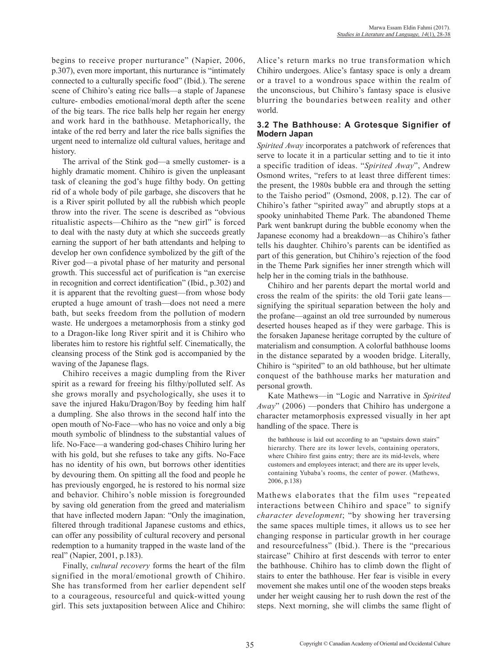begins to receive proper nurturance" (Napier, 2006, p.307), even more important, this nurturance is "intimately connected to a culturally specific food" (Ibid.). The serene scene of Chihiro's eating rice balls—a staple of Japanese culture- embodies emotional/moral depth after the scene of the big tears. The rice balls help her regain her energy and work hard in the bathhouse. Metaphorically, the intake of the red berry and later the rice balls signifies the urgent need to internalize old cultural values, heritage and history.

The arrival of the Stink god—a smelly customer- is a highly dramatic moment. Chihiro is given the unpleasant task of cleaning the god's huge filthy body. On getting rid of a whole body of pile garbage, she discovers that he is a River spirit polluted by all the rubbish which people throw into the river. The scene is described as "obvious ritualistic aspects—Chihiro as the "new girl" is forced to deal with the nasty duty at which she succeeds greatly earning the support of her bath attendants and helping to develop her own confidence symbolized by the gift of the River god—a pivotal phase of her maturity and personal growth. This successful act of purification is "an exercise in recognition and correct identification" (Ibid., p.302) and it is apparent that the revolting guest—from whose body erupted a huge amount of trash—does not need a mere bath, but seeks freedom from the pollution of modern waste. He undergoes a metamorphosis from a stinky god to a Dragon-like long River spirit and it is Chihiro who liberates him to restore his rightful self. Cinematically, the cleansing process of the Stink god is accompanied by the waving of the Japanese flags.

Chihiro receives a magic dumpling from the River spirit as a reward for freeing his filthy/polluted self. As she grows morally and psychologically, she uses it to save the injured Haku/Dragon/Boy by feeding him half a dumpling. She also throws in the second half into the open mouth of No-Face—who has no voice and only a big mouth symbolic of blindness to the substantial values of life. No-Face—a wandering god-chases Chihiro luring her with his gold, but she refuses to take any gifts. No-Face has no identity of his own, but borrows other identities by devouring them. On spitting all the food and people he has previously engorged, he is restored to his normal size and behavior. Chihiro's noble mission is foregrounded by saving old generation from the greed and materialism that have inflected modern Japan: "Only the imagination, filtered through traditional Japanese customs and ethics, can offer any possibility of cultural recovery and personal redemption to a humanity trapped in the waste land of the real" (Napier, 2001, p.183).

Finally, *cultural recovery* forms the heart of the film signified in the moral/emotional growth of Chihiro. She has transformed from her earlier dependent self to a courageous, resourceful and quick-witted young girl. This sets juxtaposition between Alice and Chihiro: Alice's return marks no true transformation which Chihiro undergoes. Alice's fantasy space is only a dream or a travel to a wondrous space within the realm of the unconscious, but Chihiro's fantasy space is elusive blurring the boundaries between reality and other world.

### **3.2 The Bathhouse: A Grotesque Signifier of Modern Japan**

*Spirited Away* incorporates a patchwork of references that serve to locate it in a particular setting and to tie it into a specific tradition of ideas. "*Spirited Away*", Andrew Osmond writes, "refers to at least three different times: the present, the 1980s bubble era and through the setting to the Taisho period" (Osmond, 2008, p.12). The car of Chihiro's father "spirited away" and abruptly stops at a spooky uninhabited Theme Park. The abandoned Theme Park went bankrupt during the bubble economy when the Japanese economy had a breakdown—as Chihiro's father tells his daughter. Chihiro's parents can be identified as part of this generation, but Chihiro's rejection of the food in the Theme Park signifies her inner strength which will help her in the coming trials in the bathhouse.

Chihiro and her parents depart the mortal world and cross the realm of the spirits: the old Torii gate leans signifying the spiritual separation between the holy and the profane—against an old tree surrounded by numerous deserted houses heaped as if they were garbage. This is the forsaken Japanese heritage corrupted by the culture of materialism and consumption. A colorful bathhouse looms in the distance separated by a wooden bridge. Literally, Chihiro is "spirited" to an old bathhouse, but her ultimate conquest of the bathhouse marks her maturation and personal growth.

Kate Mathews—in "Logic and Narrative in *Spirited Away*" (2006) —ponders that Chihiro has undergone a character metamorphosis expressed visually in her apt handling of the space. There is

the bathhouse is laid out according to an "upstairs down stairs" hierarchy. There are its lower levels, containing operators, where Chihiro first gains entry; there are its mid-levels, where customers and employees interact; and there are its upper levels, containing Yubaba's rooms, the center of power. (Mathews, 2006, p.138)

Mathews elaborates that the film uses "repeated interactions between Chihiro and space" to signify *character development*; "by showing her traversing the same spaces multiple times, it allows us to see her changing response in particular growth in her courage and resourcefulness" (Ibid.). There is the "precarious staircase" Chihiro at first descends with terror to enter the bathhouse. Chihiro has to climb down the flight of stairs to enter the bathhouse. Her fear is visible in every movement she makes until one of the wooden steps breaks under her weight causing her to rush down the rest of the steps. Next morning, she will climbs the same flight of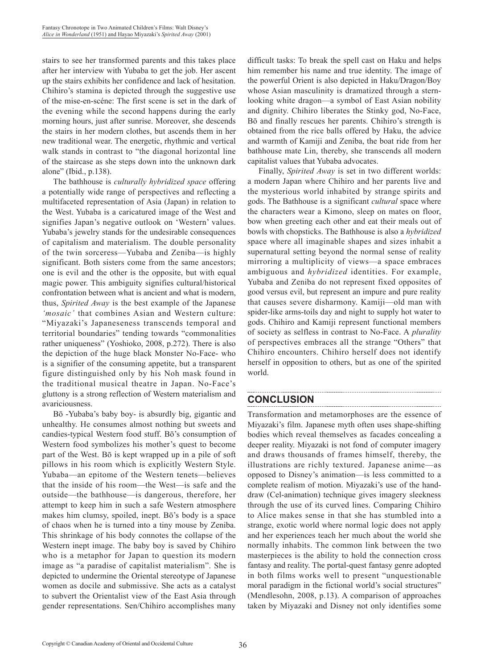stairs to see her transformed parents and this takes place after her interview with Yubaba to get the job. Her ascent up the stairs exhibits her confidence and lack of hesitation. Chihiro's stamina is depicted through the suggestive use of the mise-en-scéne: The first scene is set in the dark of the evening while the second happens during the early morning hours, just after sunrise. Moreover, she descends the stairs in her modern clothes, but ascends them in her new traditional wear. The energetic, rhythmic and vertical walk stands in contrast to "the diagonal horizontal line of the staircase as she steps down into the unknown dark alone" (Ibid., p.138).

The bathhouse is *culturally hybridized space* offering a potentially wide range of perspectives and reflecting a multifaceted representation of Asia (Japan) in relation to the West. Yubaba is a caricatured image of the West and signifies Japan's negative outlook on 'Western' values. Yubaba's jewelry stands for the undesirable consequences of capitalism and materialism. The double personality of the twin sorceress—Yubaba and Zeniba—is highly significant. Both sisters come from the same ancestors; one is evil and the other is the opposite, but with equal magic power. This ambiguity signifies cultural/historical confrontation between what is ancient and what is modern, thus, *Spirited Away* is the best example of the Japanese *'mosaic'* that combines Asian and Western culture: "Miyazaki's Japaneseness transcends temporal and territorial boundaries" tending towards "commonalities rather uniqueness" (Yoshioko, 2008, p.272). There is also the depiction of the huge black Monster No-Face- who is a signifier of the consuming appetite, but a transparent figure distinguished only by his Noh mask found in the traditional musical theatre in Japan. No-Face's gluttony is a strong reflection of Western materialism and avariciousness.

Bō -Yubaba's baby boy- is absurdly big, gigantic and unhealthy. He consumes almost nothing but sweets and candies-typical Western food stuff. Bō's consumption of Western food symbolizes his mother's quest to become part of the West. Bō is kept wrapped up in a pile of soft pillows in his room which is explicitly Western Style. Yubaba—an epitome of the Western tenets—believes that the inside of his room—the West—is safe and the outside—the bathhouse—is dangerous, therefore, her attempt to keep him in such a safe Western atmosphere makes him clumsy, spoiled, inept. Bō's body is a space of chaos when he is turned into a tiny mouse by Zeniba. This shrinkage of his body connotes the collapse of the Western inept image. The baby boy is saved by Chihiro who is a metaphor for Japan to question its modern image as "a paradise of capitalist materialism". She is depicted to undermine the Oriental stereotype of Japanese women as docile and submissive. She acts as a catalyst to subvert the Orientalist view of the East Asia through gender representations. Sen/Chihiro accomplishes many

difficult tasks: To break the spell cast on Haku and helps him remember his name and true identity. The image of the powerful Orient is also depicted in Haku/Dragon/Boy whose Asian masculinity is dramatized through a sternlooking white dragon—a symbol of East Asian nobility and dignity. Chihiro liberates the Stinky god, No-Face, Bō and finally rescues her parents. Chihiro's strength is obtained from the rice balls offered by Haku, the advice and warmth of Kamiji and Zeniba, the boat ride from her bathhouse mate Lin, thereby, she transcends all modern capitalist values that Yubaba advocates.

Finally, *Spirited Away* is set in two different worlds: a modern Japan where Chihiro and her parents live and the mysterious world inhabited by strange spirits and gods. The Bathhouse is a significant *cultural* space where the characters wear a Kimono, sleep on mates on floor, bow when greeting each other and eat their meals out of bowls with chopsticks. The Bathhouse is also a *hybridized* space where all imaginable shapes and sizes inhabit a supernatural setting beyond the normal sense of reality mirroring a multiplicity of views—a space embraces ambiguous and *hybridized* identities. For example, Yubaba and Zeniba do not represent fixed opposites of good versus evil, but represent an impure and pure reality that causes severe disharmony. Kamiji—old man with spider-like arms-toils day and night to supply hot water to gods. Chihiro and Kamiji represent functional members of society as selfless in contrast to No-Face. A *plurality* of perspectives embraces all the strange "Others" that Chihiro encounters. Chihiro herself does not identify herself in opposition to others, but as one of the spirited world.

### **CONCLUSION**

Transformation and metamorphoses are the essence of Miyazaki's film. Japanese myth often uses shape-shifting bodies which reveal themselves as facades concealing a deeper reality. Miyazaki is not fond of computer imagery and draws thousands of frames himself, thereby, the illustrations are richly textured. Japanese anime—as opposed to Disney's animation—is less committed to a complete realism of motion. Miyazaki's use of the handdraw (Cel-animation) technique gives imagery sleekness through the use of its curved lines. Comparing Chihiro to Alice makes sense in that she has stumbled into a strange, exotic world where normal logic does not apply and her experiences teach her much about the world she normally inhabits. The common link between the two masterpieces is the ability to hold the connection cross fantasy and reality. The portal-quest fantasy genre adopted in both films works well to present "unquestionable moral paradigm in the fictional world's social structures" (Mendlesohn, 2008, p.13). A comparison of approaches taken by Miyazaki and Disney not only identifies some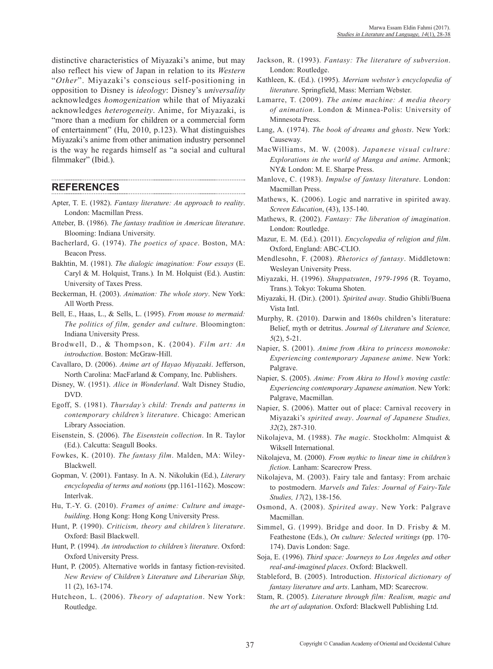distinctive characteristics of Miyazaki's anime, but may also reflect his view of Japan in relation to its *Western*  "*Other*". Miyazaki's conscious self-positioning in opposition to Disney is *ideology*: Disney's *universality* acknowledges *homogenization* while that of Miyazaki acknowledges *heterogeneity*. Anime, for Miyazaki, is "more than a medium for children or a commercial form of entertainment" (Hu, 2010, p.123). What distinguishes Miyazaki's anime from other animation industry personnel is the way he regards himself as "a social and cultural filmmaker" (Ibid.).

### **REFERENCES**

- Apter, T. E. (1982). *Fantasy literature: An approach to reality*. London: Macmillan Press.
- Atteber, B. (1986). *The fantasy tradition in American literature*. Blooming: Indiana University.
- Bacherlard, G. (1974). *The poetics of space*. Boston, MA: Beacon Press.
- Bakhtin, M. (1981). *The dialogic imagination: Four essays* (E. Caryl & M. Holquist, Trans.)*.* In M. Holquist (Ed.). Austin: University of Taxes Press.
- Beckerman, H. (2003). *Animation: The whole story*. New York: All Worth Press.
- Bell, E., Haas, L., & Sells, L. (1995). *From mouse to mermaid: The politics of film, gender and culture*. Bloomington: Indiana University Press.
- Brodwell, D., & Thompson, K. (2004). *Film art: An introduction*. Boston: McGraw-Hill.
- Cavallaro, D. (2006). *Anime art of Hayao Miyazaki*. Jefferson, North Carolina: MacFarland & Company, Inc. Publishers.
- Disney, W. (1951). *Alice in Wonderland*. Walt Disney Studio, DVD.
- Egoff, S. (1981). *Thursday's child: Trends and patterns in contemporary children's literature*. Chicago: American Library Association.
- Eisenstein, S. (2006). *The Eisenstein collection*. In R. Taylor (Ed.). Calcutta: Seagull Books.
- Fowkes, K. (2010). *The fantasy film*. Malden, MA: Wiley-Blackwell.
- Gopman, V. (2001). Fantasy. In A. N. Nikolukin (Ed.), *Literary encyclopedia of terms and notions* (pp.1161-1162). Moscow: Interlvak.
- Hu, T.-Y. G. (2010). *Frames of anime: Culture and imagebuilding*. Hong Kong: Hong Kong University Press.
- Hunt, P. (1990). *Criticism, theory and children's literature*. Oxford: Basil Blackwell.
- Hunt, P. (1994). *An introduction to children's literature*. Oxford: Oxford University Press.
- Hunt, P. (2005). Alternative worlds in fantasy fiction-revisited. *New Review of Children's Literature and Liberarian Ship,* 11 (2), 163-174.
- Hutcheon, L. (2006). *Theory of adaptation*. New York: Routledge.
- Jackson, R. (1993). *Fantasy: The literature of subversion*. London: Routledge.
- Kathleen, K. (Ed.). (1995). *Merriam webster's encyclopedia of literature*. Springfield, Mass: Merriam Webster.
- Lamarre, T. (2009). *The anime machine: A media theory of animation*. London & Minnea-Polis: University of Minnesota Press.
- Lang, A. (1974). *The book of dreams and ghosts*. New York: Causeway.
- MacWilliams, M. W. (2008). *Japanese visual culture: Explorations in the world of Manga and anime*. Armonk; NY& London: M. E. Sharpe Press.
- Manlove, C. (1983). *Impulse of fantasy literature*. London: Macmillan Press.
- Mathews, K. (2006). Logic and narrative in spirited away. *Screen Education*, (43), 135-140.
- Mathews, R. (2002). *Fantasy: The liberation of imagination*. London: Routledge.
- Mazur, E. M. (Ed.). (2011). *Encyclopedia of religion and film*. Oxford, England: ABC-CLIO.
- Mendlesohn, F. (2008). *Rhetorics of fantasy*. Middletown: Wesleyan University Press.
- Miyazaki, H. (1996). *Shuppatsuten*, *1979-1996* (R. Toyamo, Trans.). Tokyo: Tokuma Shoten.
- Miyazaki, H. (Dir.). (2001). *Spirited away*. Studio Ghibli/Buena Vista Intl.
- Murphy, R. (2010). Darwin and 1860s children's literature: Belief, myth or detritus. *Journal of Literature and Science, 5*(2), 5-21.
- Napier, S. (2001). *Anime from Akira to princess mononoke: Experiencing contemporary Japanese anime*. New York: Palgrave.
- Napier, S. (2005). *Anime: From Akira to Howl's moving castle: Experiencing contemporary Japanese animation*. New York: Palgrave, Macmillan.
- Napier, S. (2006). Matter out of place: Carnival recovery in Miyazaki's *spirited away*. *Journal of Japanese Studies, 32*(2), 287-310.
- Nikolajeva, M. (1988). *The magic*. Stockholm: Almquist & Wiksell International.
- Nikolajeva, M. (2000). *From mythic to linear time in children's fiction*. Lanham: Scarecrow Press.
- Nikolajeva, M. (2003). Fairy tale and fantasy: From archaic to postmodern. *Marvels and Tales: Journal of Fairy-Tale Studies, 17*(2), 138-156.
- Osmond, A. (2008). *Spirited away*. New York: Palgrave Macmillan.
- Simmel, G. (1999). Bridge and door. In D. Frisby & M. Feathestone (Eds.), *On culture: Selected writings* (pp. 170- 174). Davis London: Sage.
- Soja, E. (1996). *Third space: Journeys to Los Angeles and other real-and-imagined places*. Oxford: Blackwell.
- Stableford, B. (2005). Introduction. *Historical dictionary of fantasy literature and arts*. Lanham, MD: Scarecrow.
- Stam, R. (2005). *Literature through film: Realism, magic and the art of adaptation*. Oxford: Blackwell Publishing Ltd.